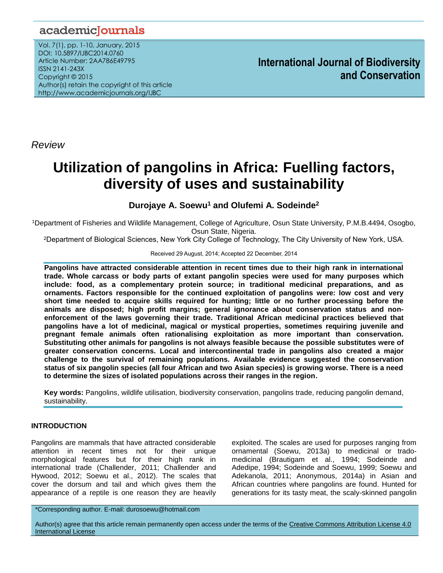# academicJournals

Vol. 7(1), pp. 1-10, January, 2015 DOI: 10.5897/IJBC2014.0760 Article Number: 2AA786E49795 ISSN 2141-243X Copyright © 2015 Author(s) retain the copyright of this article http://www.academicjournals.org/IJBC

**International Journal of Biodiversity and Conservation**

*Review*

# **Utilization of pangolins in Africa: Fuelling factors, diversity of uses and sustainability**

# **Durojaye A. Soewu<sup>1</sup> and Olufemi A. Sodeinde<sup>2</sup>**

<sup>1</sup>Department of Fisheries and Wildlife Management, College of Agriculture, Osun State University, P.M.B.4494, Osogbo, Osun State, Nigeria.

<sup>2</sup>Department of Biological Sciences, New York City College of Technology, The City University of New York, USA.

#### Received 29 August, 2014; Accepted 22 December, 2014

**Pangolins have attracted considerable attention in recent times due to their high rank in international trade. Whole carcass or body parts of extant pangolin species were used for many purposes which include: food, as a complementary protein source; in traditional medicinal preparations, and as ornaments. Factors responsible for the continued exploitation of pangolins were: low cost and very short time needed to acquire skills required for hunting; little or no further processing before the animals are disposed; high profit margins; general ignorance about conservation status and nonenforcement of the laws governing their trade. Traditional African medicinal practices believed that pangolins have a lot of medicinal, magical or mystical properties, sometimes requiring juvenile and pregnant female animals often rationalising exploitation as more important than conservation. Substituting other animals for pangolins is not always feasible because the possible substitutes were of greater conservation concerns. Local and intercontinental trade in pangolins also created a major challenge to the survival of remaining populations. Available evidence suggested the conservation status of six pangolin species (all four African and two Asian species) is growing worse. There is a need to determine the sizes of isolated populations across their ranges in the region.**

**Key words:** Pangolins, wildlife utilisation, biodiversity conservation, pangolins trade, reducing pangolin demand, sustainability.

# **INTRODUCTION**

Pangolins are mammals that have attracted considerable attention in recent times not for their unique morphological features but for their high rank in international trade (Challender, 2011; Challender and Hywood, 2012; Soewu et al., 2012). The scales that cover the dorsum and tail and which gives them the appearance of a reptile is one reason they are heavily

exploited. The scales are used for purposes ranging from ornamental (Soewu, 2013a) to medicinal or tradomedicinal (Brautigam et al., 1994; Sodeinde and Adedipe, 1994; Sodeinde and Soewu, 1999; Soewu and Adekanola, 2011; Anonymous, 2014a) in Asian and African countries where pangolins are found. Hunted for generations for its tasty meat, the scaly-skinned pangolin

\*Corresponding author. E-mail: durosoewu@hotmail.com

Author(s) agree that this article remain permanently open access under the terms of the Creative Commons Attribution License 4.0 [International License](http://creativecommons.org/licenses/by/4.0/deed.en_US)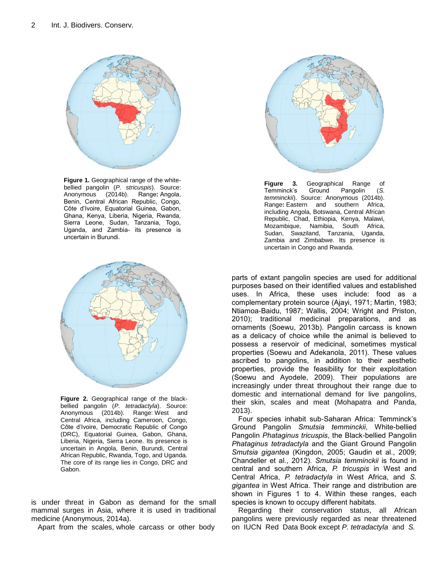

**Figure 1.** Geographical range of the whitebellied pangolin (*P. stricuspis*). Source: Anonymous (2014b). Range**:** Angola, Benin, Central African Republic, Congo, Côte d'Ivoire, Equatorial Guinea, Gabon, Ghana, Kenya, Liberia, Nigeria, Rwanda, Sierra Leone, Sudan, Tanzania, Togo, Uganda, and Zambia- its presence is uncertain in Burundi.



**Figure 2.** Geographical range of the blackbellied pangolin (*P. tetradactyla*). Source: Anonymous (2014b). Range: West and Central Africa, including Cameroon, Congo, Côte d'Ivoire, Democratic Republic of Congo (DRC), Equatorial Guinea, Gabon, Ghana, Liberia, Nigeria, Sierra Leone. Its presence is uncertain in Angola, Benin, Burundi, Central African Republic, Rwanda, Togo, and Uganda. The core of its range lies in Congo, DRC and Gabon.

is under threat in Gabon as demand for the small mammal surges in Asia, where it is used in traditional medicine (Anonymous, 2014a).

Apart from the scales, whole carcass or other body



**Figure 3.** Geographical Range of Temminck's Ground Pangolin (*S. temminckii*). Source: Anonymous (2014b). Range**:** Eastern and southern Africa, including Angola, Botswana, Central African Republic, Chad, Ethiopia, Kenya, Malawi, Mozambique, Namibia, South Africa, Sudan, Swaziland, Tanzania, Uganda, Zambia and Zimbabwe. Its presence is uncertain in Congo and Rwanda.

parts of extant pangolin species are used for additional purposes based on their identified values and established uses. In Africa, these uses include: food as a complementary protein source (Ajayi, 1971; Martin, 1983; Ntiamoa-Baidu, 1987; Wallis, 2004; Wright and Priston, 2010); traditional medicinal preparations, and as ornaments (Soewu, 2013b). Pangolin carcass is known as a delicacy of choice while the animal is believed to possess a reservoir of medicinal, sometimes mystical properties (Soewu and Adekanola, 2011). These values ascribed to pangolins, in addition to their aesthetic properties, provide the feasibility for their exploitation (Soewu and Ayodele, 2009). Their populations are increasingly under threat throughout their range due to domestic and international demand for live pangolins, their skin, scales and meat (Mohapatra and Panda, 2013).

Four species inhabit sub-Saharan Africa: Temminck's Ground Pangolin *Smutsia temminckii*, White-bellied Pangolin *Phataginus tricuspis*, the Black-bellied Pangolin *Phataginus tetradactyla* and the Giant Ground Pangolin *Smutsia gigantea* (Kingdon, 2005; Gaudin et al., 2009; Chandeller et al., 2012). *Smutsia temminckii* is found in central and southern Africa*, P. tricuspis* in West and Central Africa, *P. tetradactyla* in West Africa, and *S. gigantea* in West Africa. Their range and distribution are shown in Figures 1 to 4. Within these ranges, each species is known to occupy different habitats.

Regarding their conservation status, all African pangolins were previously regarded as near threatened on IUCN Red Data Book except *P. tetradactyla* and *S.*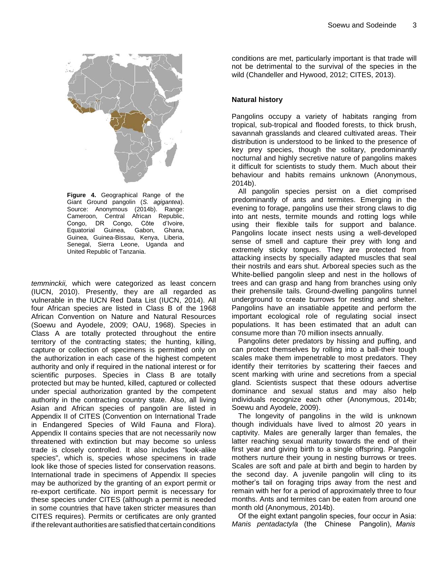

**Figure 4.** Geographical Range of the Giant Ground pangolin (*S. agigantea*). Source: Anonymous (2014b). Range: Cameroon, Central African Republic, Congo, DR Congo, Côte d'Ivoire, Equatorial Guinea, Gabon, Ghana, Guinea, Guinea-Bissau, Kenya, Liberia, Senegal, Sierra Leone, Uganda and United Republic of Tanzania.

*temminckii,* which were categorized as least concern (IUCN, 2010). Presently, they are all regarded as vulnerable in the IUCN Red Data List (IUCN, 2014). All four African species are listed in Class B of the 1968 African Convention on Nature and Natural Resources (Soewu and Ayodele, 2009; OAU, 1968). Species in Class A are totally protected throughout the entire territory of the contracting states; the hunting, killing, capture or collection of specimens is permitted only on the authorization in each case of the highest competent authority and only if required in the national interest or for scientific purposes. Species in Class B are totally protected but may be hunted, killed, captured or collected under special authorization granted by the competent authority in the contracting country state. Also, all living Asian and African species of pangolin are listed in Appendix II of CITES (Convention on International Trade in Endangered Species of Wild Fauna and Flora). Appendix II contains species that are not necessarily now threatened with extinction but may become so unless trade is closely controlled. It also includes "look-alike species", which is, species whose specimens in trade look like those of species listed for conservation reasons. International trade in specimens of Appendix II species may be authorized by the granting of an export permit or re-export certificate. No import permit is necessary for these species under CITES (although a permit is needed in some countries that have taken stricter measures than CITES requires). Permits or certificates are only granted if the relevant authorities are satisfied that certain conditions

conditions are met, particularly important is that trade will not be detrimental to the survival of the species in the wild (Chandeller and Hywood, 2012; CITES, 2013).

## **Natural history**

Pangolins occupy a variety of habitats ranging from tropical, sub-tropical and flooded forests, to thick brush, savannah grasslands and cleared cultivated areas. Their distribution is understood to be linked to the presence of key prey species, though the solitary, predominantly nocturnal and highly secretive nature of pangolins makes it difficult for scientists to study them. Much about their behaviour and habits remains unknown (Anonymous, 2014b).

All pangolin species persist on a diet comprised predominantly of ants and termites. Emerging in the evening to forage, pangolins use their strong claws to dig into ant nests, termite mounds and rotting logs while using their flexible tails for support and balance. Pangolins locate insect nests using a well-developed sense of smell and capture their prey with long and extremely sticky tongues. They are protected from attacking insects by specially adapted muscles that seal their nostrils and ears shut. Arboreal species such as the White-bellied pangolin sleep and nest in the hollows of trees and can grasp and hang from branches using only their prehensile tails. Ground-dwelling pangolins tunnel underground to create burrows for nesting and shelter. Pangolins have an insatiable appetite and perform the important ecological role of regulating social insect populations. It has been estimated that an adult can consume more than 70 million insects annually.

Pangolins deter predators by hissing and puffing, and can protect themselves by rolling into a ball-their tough scales make them impenetrable to most predators. They identify their territories by scattering their faeces and scent marking with urine and secretions from a special gland. Scientists suspect that these odours advertise dominance and sexual status and may also help individuals recognize each other (Anonymous, 2014b; Soewu and Ayodele, 2009).

The longevity of pangolins in the wild is unknown though individuals have lived to almost 20 years in captivity. Males are generally larger than females, the latter reaching sexual maturity towards the end of their first year and giving birth to a single offspring. Pangolin mothers nurture their young in nesting burrows or trees. Scales are soft and pale at birth and begin to harden by the second day. A juvenile pangolin will cling to its mother's tail on foraging trips away from the nest and remain with her for a period of approximately three to four months. Ants and termites can be eaten from around one month old (Anonymous, 2014b).

Of the eight extant pangolin species, four occur in Asia: *Manis pentadactyla* (the Chinese Pangolin), *Manis*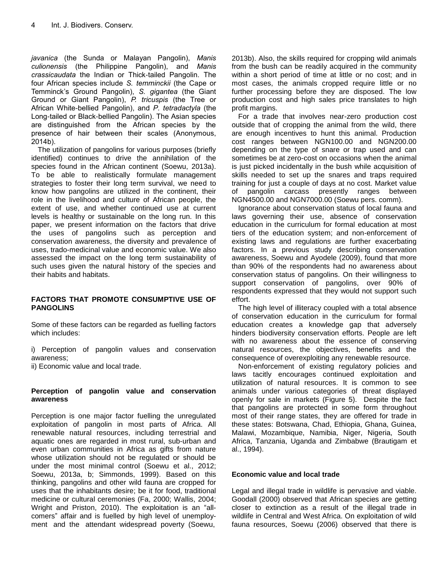*javanica* (the Sunda or Malayan Pangolin), *Manis culionensis* (the Philippine Pangolin), and *Manis crassicaudata* the Indian or Thick-tailed Pangolin. The four African species include *S. temminckii* (the Cape or Temminck's Ground Pangolin), *S. gigantea* (the Giant Ground or Giant Pangolin), *P. tricuspis* (the Tree or African White-bellied Pangolin), and *P. tetradactyla* (the Long-tailed or Black-bellied Pangolin). The Asian species are distinguished from the African species by the presence of hair between their scales (Anonymous, 2014b).

The utilization of pangolins for various purposes (briefly identified) continues to drive the annihilation of the species found in the African continent (Soewu, 2013a). To be able to realistically formulate management strategies to foster their long term survival, we need to know how pangolins are utilized in the continent, their role in the livelihood and culture of African people, the extent of use, and whether continued use at current levels is healthy or sustainable on the long run. In this paper, we present information on the factors that drive the uses of pangolins such as perception and conservation awareness, the diversity and prevalence of uses, trado-medicinal value and economic value. We also assessed the impact on the long term sustainability of such uses given the natural history of the species and their habits and habitats.

# **FACTORS THAT PROMOTE CONSUMPTIVE USE OF PANGOLINS**

Some of these factors can be regarded as fuelling factors which includes:

i) Perception of pangolin values and conservation awareness;

ii) Economic value and local trade.

# **Perception of pangolin value and conservation awareness**

Perception is one major factor fuelling the unregulated exploitation of pangolin in most parts of Africa. All renewable natural resources, including terrestrial and aquatic ones are regarded in most rural, sub-urban and even urban communities in Africa as gifts from nature whose utilization should not be regulated or should be under the most minimal control (Soewu et al., 2012; Soewu, 2013a, b; Simmonds, 1999). Based on this thinking, pangolins and other wild fauna are cropped for uses that the inhabitants desire; be it for food, traditional medicine or cultural ceremonies (Fa, 2000; Wallis, 2004; Wright and Priston, 2010). The exploitation is an "allcomers" affair and is fuelled by high level of unemployment and the attendant widespread poverty (Soewu,

2013b). Also, the skills required for cropping wild animals from the bush can be readily acquired in the community within a short period of time at little or no cost; and in most cases, the animals cropped require little or no further processing before they are disposed. The low production cost and high sales price translates to high profit margins.

For a trade that involves near-zero production cost outside that of cropping the animal from the wild, there are enough incentives to hunt this animal. Production cost ranges between NGN100.00 and NGN200.00 depending on the type of snare or trap used and can sometimes be at zero-cost on occasions when the animal is just picked incidentally in the bush while acquisition of skills needed to set up the snares and traps required training for just a couple of days at no cost. Market value of pangolin carcass presently ranges between NGN4500.00 and NGN7000.00 (Soewu pers. comm).

Ignorance about conservation status of local fauna and laws governing their use, absence of conservation education in the curriculum for formal education at most tiers of the education system; and non-enforcement of existing laws and regulations are further exacerbating factors. In a previous study describing conservation awareness, Soewu and Ayodele (2009), found that more than 90% of the respondents had no awareness about conservation status of pangolins. On their willingness to support conservation of pangolins, over 90% of respondents expressed that they would not support such effort.

The high level of illiteracy coupled with a total absence of conservation education in the curriculum for formal education creates a knowledge gap that adversely hinders biodiversity conservation efforts. People are left with no awareness about the essence of conserving natural resources, the objectives, benefits and the consequence of overexploiting any renewable resource.

Non-enforcement of existing regulatory policies and laws tacitly encourages continued exploitation and utilization of natural resources. It is common to see animals under various categories of threat displayed openly for sale in markets (Figure 5). Despite the fact that pangolins are protected in some form throughout most of their range states, they are offered for trade in these states: Botswana, Chad, Ethiopia, Ghana, Guinea, Malawi, Mozambique, Namibia, Niger, Nigeria, South Africa, Tanzania, Uganda and Zimbabwe (Brautigam et al., 1994).

# **Economic value and local trade**

Legal and illegal trade in wildlife is pervasive and viable. Goodall (2000) observed that African species are getting closer to extinction as a result of the illegal trade in wildlife in Central and West Africa. On exploitation of wild fauna resources, Soewu (2006) observed that there is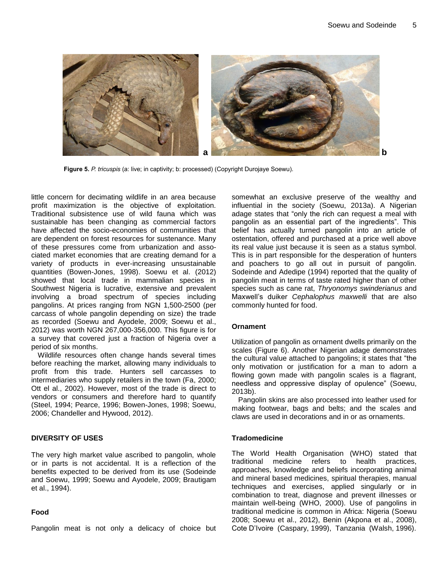

**Figure 5.** *P. tricuspis* (a: live; in captivity; b: processed) (Copyright Durojaye Soewu).

little concern for decimating wildlife in an area because profit maximization is the objective of exploitation. Traditional subsistence use of wild fauna which was sustainable has been changing as commercial factors have affected the socio-economies of communities that are dependent on forest resources for sustenance. Many of these pressures come from urbanization and associated market economies that are creating demand for a variety of products in ever-increasing unsustainable quantities (Bowen-Jones, 1998). Soewu et al. (2012) showed that local trade in mammalian species in Southwest Nigeria is lucrative, extensive and prevalent involving a broad spectrum of species including pangolins. At prices ranging from NGN 1,500-2500 (per carcass of whole pangolin depending on size) the trade as recorded (Soewu and Ayodele, 2009; Soewu et al., 2012) was worth NGN 267,000-356,000. This figure is for a survey that covered just a fraction of Nigeria over a period of six months.

Wildlife resources often change hands several times before reaching the market, allowing many individuals to profit from this trade. Hunters sell carcasses to intermediaries who supply retailers in the town (Fa, 2000; Ott el al., 2002). However, most of the trade is direct to vendors or consumers and therefore hard to quantify (Steel, 1994; Pearce, 1996; Bowen-Jones, 1998; Soewu, 2006; Chandeller and Hywood, 2012).

# **DIVERSITY OF USES**

The very high market value ascribed to pangolin, whole or in parts is not accidental. It is a reflection of the benefits expected to be derived from its use (Sodeinde and Soewu, 1999; Soewu and Ayodele, 2009; Brautigam et al., 1994).

# **Food**

Pangolin meat is not only a delicacy of choice but

somewhat an exclusive preserve of the wealthy and influential in the society (Soewu, 2013a). A Nigerian adage states that "only the rich can request a meal with pangolin as an essential part of the ingredients". This belief has actually turned pangolin into an article of ostentation, offered and purchased at a price well above its real value just because it is seen as a status symbol. This is in part responsible for the desperation of hunters and poachers to go all out in pursuit of pangolin. Sodeinde and Adedipe (1994) reported that the quality of pangolin meat in terms of taste rated higher than of other species such as cane rat, *Thryonomys swinderianus* and Maxwell's duiker *Cephalophus maxwelli* that are also commonly hunted for food.

# **Ornament**

Utilization of pangolin as ornament dwells primarily on the scales (Figure 6). Another Nigerian adage demonstrates the cultural value attached to pangolins; it states that "the only motivation or justification for a man to adorn a flowing gown made with pangolin scales is a flagrant, needless and oppressive display of opulence" (Soewu, 2013b).

Pangolin skins are also processed into leather used for making footwear, bags and belts; and the scales and claws are used in decorations and in or as ornaments.

# **Tradomedicine**

The World Health Organisation (WHO) stated that traditional medicine refers to health practices, approaches, knowledge and beliefs incorporating animal and mineral based medicines, spiritual therapies, manual techniques and exercises, applied singularly or in combination to treat, diagnose and prevent illnesses or maintain well-being (WHO, 2000). Use of pangolins in traditional medicine is common in Africa: Nigeria (Soewu 2008; Soewu et al., 2012), Benin (Akpona et al., 2008), Cote D'Ivoire (Caspary, 1999), Tanzania (Walsh, 1996).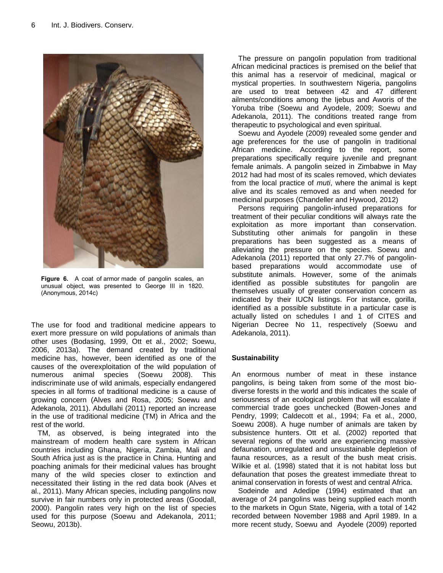

**Figure 6.** A coat of [armor](http://en.wikipedia.org/wiki/Armor) made of pangolin scales, an unusual object, was presented to George III in 1820. (Anonymous, 2014c)

The use for food and traditional medicine appears to exert more pressure on wild populations of animals than other uses (Bodasing, 1999, Ott et al., 2002; Soewu, 2006, 2013a). The demand created by traditional medicine has, however, been identified as one of the causes of the overexploitation of the wild population of numerous animal species (Soewu 2008). This indiscriminate use of wild animals, especially endangered species in all forms of traditional medicine is a cause of growing concern (Alves and Rosa, 2005; Soewu and Adekanola, 2011). Abdullahi (2011) reported an increase in the use of traditional medicine (TM) in Africa and the rest of the world.

TM, as observed, is being integrated into the mainstream of modern health care system in African countries including Ghana, Nigeria, Zambia, Mali and South Africa just as is the practice in China. Hunting and poaching animals for their medicinal values has brought many of the wild species closer to extinction and necessitated their listing in the red data book (Alves et al., 2011). Many African species, including pangolins now survive in fair numbers only in protected areas (Goodall, 2000). Pangolin rates very high on the list of species used for this purpose (Soewu and Adekanola, 2011; Seowu, 2013b).

The pressure on pangolin population from traditional African medicinal practices is premised on the belief that this animal has a reservoir of medicinal, magical or mystical properties. In southwestern Nigeria, pangolins are used to treat between 42 and 47 different ailments/conditions among the Ijebus and Aworis of the Yoruba tribe (Soewu and Ayodele, 2009; Soewu and Adekanola, 2011). The conditions treated range from therapeutic to psychological and even spiritual.

Soewu and Ayodele (2009) revealed some gender and age preferences for the use of pangolin in traditional African medicine. According to the report, some preparations specifically require juvenile and pregnant female animals. A pangolin seized in Zimbabwe in May 2012 had had most of its scales removed, which deviates from the local practice of *muti*, where the animal is kept alive and its scales removed as and when needed for medicinal purposes (Chandeller and Hywood, 2012)

Persons requiring pangolin-infused preparations for treatment of their peculiar conditions will always rate the exploitation as more important than conservation. Substituting other animals for pangolin in these preparations has been suggested as a means of alleviating the pressure on the species. Soewu and Adekanola (2011) reported that only 27.7% of pangolinbased preparations would accommodate use of substitute animals. However, some of the animals identified as possible substitutes for pangolin are themselves usually of greater conservation concern as indicated by their IUCN listings. For instance, gorilla, identified as a possible substitute in a particular case is actually listed on schedules I and 1 of CITES and Nigerian Decree No 11, respectively (Soewu and Adekanola, 2011).

# **Sustainability**

An enormous number of meat in these instance pangolins, is being taken from some of the most biodiverse forests in the world and this indicates the scale of seriousness of an ecological problem that will escalate if commercial trade goes unchecked (Bowen-Jones and Pendry, 1999; Caldecott et al., 1994; Fa et al., 2000, Soewu 2008). A huge number of animals are taken by subsistence hunters. Ott et al. (2002) reported that several regions of the world are experiencing massive defaunation, unregulated and unsustainable depletion of fauna resources, as a result of the bush meat crisis. Wilkie et al. (1998) stated that it is not habitat loss but defaunation that poses the greatest immediate threat to animal conservation in forests of west and central Africa.

Sodeinde and Adedipe (1994) estimated that an average of 24 pangolins was being supplied each month to the markets in Ogun State, Nigeria, with a total of 142 recorded between November 1988 and April 1989. In a more recent study, Soewu and Ayodele (2009) reported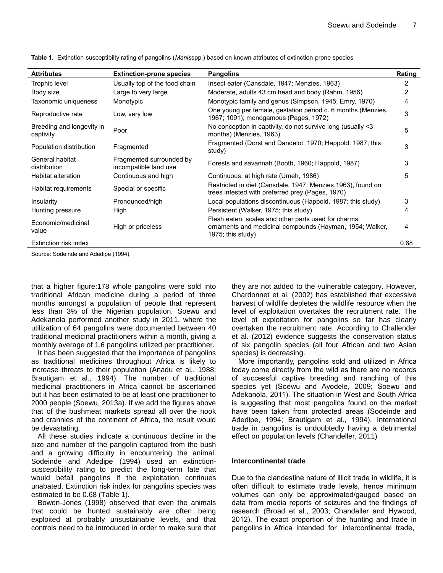| <b>Attributes</b>                      | <b>Extinction-prone species</b>                   | <b>Pangolins</b>                                                                                                                      | Rating |
|----------------------------------------|---------------------------------------------------|---------------------------------------------------------------------------------------------------------------------------------------|--------|
| Trophic level                          | Usually top of the food chain                     | Insect eater (Cansdale, 1947; Menzies, 1963)                                                                                          | 2      |
| Body size                              | Large to very large                               | Moderate, adults 43 cm head and body (Rahm, 1956)                                                                                     | 2      |
| Taxonomic uniqueness                   | Monotypic                                         | Monotypic family and genus (Simpson, 1945; Emry, 1970)                                                                                | 4      |
| Reproductive rate                      | Low, very low                                     | One young per female, gestation period c. 6 months (Menzies,<br>1967; 1091); monogamous (Pages, 1972)                                 | 3      |
| Breeding and longevity in<br>captivity | Poor                                              | No conception in captivity, do not survive long (usually <3<br>months) (Menzies, 1963)                                                | 5      |
| Population distribution                | Fragmented                                        | Fragmented (Dorst and Dandelot, 1970; Happold, 1987; this<br>study)                                                                   |        |
| General habitat<br>distribution        | Fragmented surrounded by<br>incompatible land use | Forests and savannah (Booth, 1960; Happold, 1987)                                                                                     | 3      |
| Habitat alteration                     | Continuous and high                               | Continuous; at high rate (Umeh, 1986)                                                                                                 | 5      |
| Habitat requirements                   | Special or specific                               | Restricted in diet (Cansdale, 1947; Menzies, 1963), found on<br>trees infested with preferred prey (Pages, 1970)                      |        |
| Insularity                             | Pronounced/high                                   | Local populations discontinuous (Happold, 1987; this study)                                                                           | 3      |
| Hunting pressure                       | High                                              | Persistent (Walker, 1975; this study)                                                                                                 | 4      |
| Economic/medicinal<br>value            | High or priceless                                 | Flesh eaten, scales and other parts used for charms,<br>ornaments and medicinal compounds (Hayman, 1954; Walker,<br>1975; this study) | 4      |
| Extinction risk index                  |                                                   |                                                                                                                                       | 0.68   |

**Table 1.** Extinction-susceptibilty rating of pangolins (*Manis*spp.) based on known attributes of extinction-prone species

Source: Sodeinde and Adedipe (1994).

that a higher figure:178 whole pangolins were sold into traditional African medicine during a period of three months amongst a population of people that represent less than 3% of the Nigerian population. Soewu and Adekanola performed another study in 2011, where the utilization of 64 pangolins were documented between 40 traditional medicinal practitioners within a month, giving a monthly average of 1.6 pangolins utilized per practitioner.

It has been suggested that the importance of pangolins as traditional medicines throughout Africa is likely to increase threats to their population (Anadu et al., 1988; Brautigam et al., 1994). The number of traditional medicinal practitioners in Africa cannot be ascertained but it has been estimated to be at least one practitioner to 2000 people (Soewu, 2013a). If we add the figures above that of the bushmeat markets spread all over the nook and crannies of the continent of Africa, the result would be devastating.

All these studies indicate a continuous decline in the size and number of the pangolin captured from the bush and a growing difficulty in encountering the animal. Sodeinde and Adedipe (1994) used an extinctionsusceptibility rating to predict the long-term fate that would befall pangolins if the exploitation continues unabated. Extinction risk index for pangolins species was estimated to be 0.68 (Table 1).

Bowen-Jones (1998) observed that even the animals that could be hunted sustainably are often being exploited at probably unsustainable levels, and that controls need to be introduced in order to make sure that they are not added to the vulnerable category. However, Chardonnet et al. (2002) has established that excessive harvest of wildlife depletes the wildlife resource when the level of exploitation overtakes the recruitment rate. The level of exploitation for pangolins so far has clearly overtaken the recruitment rate. According to Challender et al. (2012) evidence suggests the conservation status of six pangolin species (all four African and two Asian species) is decreasing.

More importantly, pangolins sold and utilized in Africa today come directly from the wild as there are no records of successful captive breeding and ranching of this species yet (Soewu and Ayodele, 2009; Soewu and Adekanola, 2011). The situation in West and South Africa is suggesting that most pangolins found on the market have been taken from protected areas (Sodeinde and Adedipe, 1994; Brautigam et al., 1994). International trade in pangolins is undoubtedly having a detrimental effect on population levels (Chandeller, 2011)

# **Intercontinental trade**

Due to the clandestine nature of illicit trade in wildlife, it is often difficult to estimate trade levels, hence minimum volumes can only be approximated/gauged based on data from media reports of seizures and the findings of research (Broad et al., 2003; Chandeller and Hywood, 2012). The exact proportion of the hunting and trade in pangolins in Africa intended for intercontinental trade,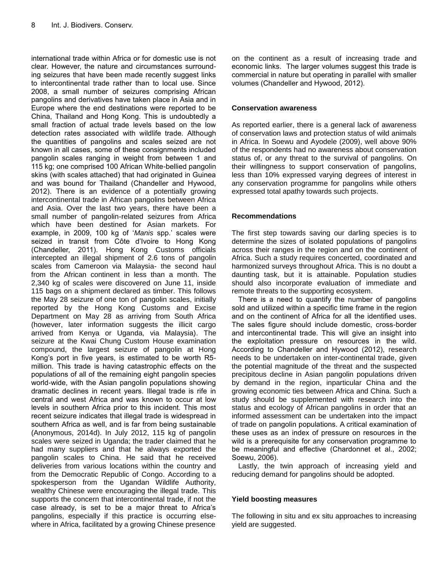international trade within Africa or for domestic use is not clear. However, the nature and circumstances surrounding seizures that have been made recently suggest links to intercontinental trade rather than to local use. Since 2008, a small number of seizures comprising African pangolins and derivatives have taken place in Asia and in Europe where the end destinations were reported to be China, Thailand and Hong Kong. This is undoubtedly a small fraction of actual trade levels based on the low detection rates associated with wildlife trade. Although the quantities of pangolins and scales seized are not known in all cases, some of these consignments included pangolin scales ranging in weight from between 1 and 115 kg; one comprised 100 African White-bellied pangolin skins (with scales attached) that had originated in Guinea and was bound for Thailand (Chandeller and Hywood, 2012). There is an evidence of a potentially growing intercontinental trade in African pangolins between Africa and Asia. Over the last two years, there have been a small number of pangolin-related seizures from Africa which have been destined for Asian markets. For example, in 2009, 100 kg of '*Manis* spp.' scales were seized in transit from Côte d'Ivoire to Hong Kong (Chandeller, 2011). Hong Kong Customs officials intercepted an illegal shipment of 2.6 tons of pangolin scales from Cameroon via Malaysia- the second haul from the African continent in less than a month. The 2,340 kg of scales were discovered on June 11, inside 115 bags on a shipment declared as timber. This follows the May 28 seizure of [one](http://annamiticus.com/2014/05/28/1-ton-pangolin-scales-south-africa-seized-hong-kong/) ton of pangolin scales, initially reported by the Hong Kong Customs and Excise Department on May 28 as arriving from South Africa (however, later information suggests the illicit cargo arrived from Kenya or Uganda, via Malaysia). The seizure at the Kwai Chung Custom House examination compound, the largest seizure of pangolin at Hong Kong's port in five years, is estimated to be worth R5 million. This trade is having catastrophic effects on the populations of all of the remaining eight pangolin species world-wide, with the Asian pangolin populations showing dramatic declines in recent years. Illegal trade is rife in central and west Africa and was known to occur at low levels in southern Africa prior to this incident. This most recent seizure indicates that illegal trade is widespread in southern Africa as well, and is far from being sustainable (Anonymous, 2014d). In July 2012, 115 kg of pangolin scales were seized in Uganda; the trader claimed that he had many suppliers and that he always exported the pangolin scales to China. He said that he received deliveries from various locations within the country and from the Democratic Republic of Congo. According to a spokesperson from the Ugandan Wildlife Authority, wealthy Chinese were encouraging the illegal trade. This supports the concern that intercontinental trade, if not the case already, is set to be a major threat to Africa's pangolins, especially if this practice is occurring elsewhere in Africa, facilitated by a growing Chinese presence

on the continent as a result of increasing trade and economic links. The larger volumes suggest this trade is commercial in nature but operating in parallel with smaller volumes (Chandeller and Hywood, 2012).

# **Conservation awareness**

As reported earlier, there is a general lack of awareness of conservation laws and protection status of wild animals in Africa. In Soewu and Ayodele (2009), well above 90% of the respondents had no awareness about conservation status of, or any threat to the survival of pangolins. On their willingness to support conservation of pangolins, less than 10% expressed varying degrees of interest in any conservation programme for pangolins while others expressed total apathy towards such projects.

# **Recommendations**

The first step towards saving our darling species is to determine the sizes of isolated populations of pangolins across their ranges in the region and on the continent of Africa. Such a study requires concerted, coordinated and harmonized surveys throughout Africa. This is no doubt a daunting task, but it is attainable. Population studies should also incorporate evaluation of immediate and remote threats to the supporting ecosystem.

There is a need to quantify the number of pangolins sold and utilized within a specific time frame in the region and on the continent of Africa for all the identified uses. The sales figure should include domestic, cross-border and intercontinental trade. This will give an insight into the exploitation pressure on resources in the wild. According to Chandeller and Hywood (2012), research needs to be undertaken on inter-continental trade, given the potential magnitude of the threat and the suspected precipitous decline in Asian pangolin populations driven by demand in the region, inparticular China and the growing economic ties between Africa and China. Such a study should be supplemented with research into the status and ecology of African pangolins in order that an informed assessment can be undertaken into the impact of trade on pangolin populations. A critical examination of these uses as an index of pressure on resources in the wild is a prerequisite for any conservation programme to be meaningful and effective (Chardonnet et al., 2002; Soewu, 2006).

Lastly, the twin approach of increasing yield and reducing demand for pangolins should be adopted.

# **Yield boosting measures**

The following in situ and ex situ approaches to increasing yield are suggested.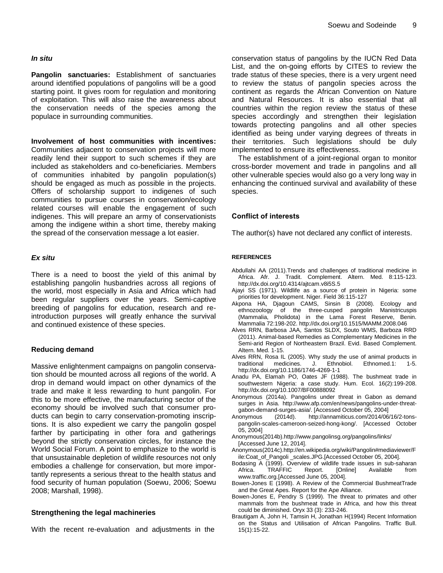#### *In situ*

**Pangolin sanctuaries:** Establishment of sanctuaries around identified populations of pangolins will be a good starting point. It gives room for regulation and monitoring of exploitation. This will also raise the awareness about the conservation needs of the species among the populace in surrounding communities.

**Involvement of host communities with incentives:** Communities adjacent to conservation projects will more readily lend their support to such schemes if they are included as stakeholders and co-beneficiaries. Members of communities inhabited by pangolin population(s) should be engaged as much as possible in the projects. Offers of scholarship support to indigenes of such communities to pursue courses in conservation/ecology related courses will enable the engagement of such indigenes. This will prepare an army of conservationists among the indigene within a short time, thereby making the spread of the conservation message a lot easier.

#### *Ex situ*

There is a need to boost the yield of this animal by establishing pangolin husbandries across all regions of the world, most especially in Asia and Africa which had been regular suppliers over the years. Semi-captive breeding of pangolins for education, research and reintroduction purposes will greatly enhance the survival and continued existence of these species.

#### **Reducing demand**

Massive enlightenment campaigns on pangolin conservation should be mounted across all regions of the world. A drop in demand would impact on other dynamics of the trade and make it less rewarding to hunt pangolin. For this to be more effective, the manufacturing sector of the economy should be involved such that consumer products can begin to carry conservation-promoting inscriptions. It is also expedient we carry the pangolin gospel farther by participating in other fora and gatherings beyond the strictly conservation circles, for instance the World Social Forum. A point to emphasize to the world is that unsustainable depletion of wildlife resources not only embodies a challenge for conservation, but more importantly represents a serious threat to the health status and food security of human population (Soewu, 2006; Soewu 2008; Marshall, 1998).

#### **Strengthening the legal machineries**

With the recent re-evaluation and adjustments in the

conservation status of pangolins by the IUCN Red Data List, and the on-going efforts by CITES to review the trade status of these species, there is a very urgent need to review the status of pangolin species across the continent as regards the African Convention on Nature and Natural Resources. It is also essential that all countries within the region review the status of these species accordingly and strengthen their legislation towards protecting pangolins and all other species identified as being under varying degrees of threats in their territories. Such legislations should be duly implemented to ensure its effectiveness.

The establishment of a joint-regional organ to monitor cross-border movement and trade in pangolins and all other vulnerable species would also go a very long way in enhancing the continued survival and availability of these species.

### **Conflict of interests**

The author(s) have not declared any conflict of interests.

#### **REFERENCES**

- Abdullahi AA (2011).Trends and challenges of traditional medicine in Africa. Afr. J. Tradit. Complement. Altern. Med. 8:115-123. <http://dx.doi.org/10.4314/ajtcam.v8i5S.5>
- Ajayi SS (1971). Wildlife as a source of protein in Nigeria: some priorities for development. Niger. Field 36:115-127
- Akpona HA, Djagoun CAMS, Sinsin B (2008). Ecology and ethnozoology of the three-cusped pangolin Manistricuspis (Mammalia, Pholidota) in the Lama Forest Reserve, Benin. Mammalia 72:198-202[. http://dx.doi.org/10.1515/MAMM.2008.046](http://dx.doi.org/10.1515/MAMM.2008.046)
- Alves RRN, Barbosa JAA, Santos SLDX, Souto WMS, Barboza RRD (2011). Animal-based Remedies as Complementary Medicines in the Semi-arid Region of Northeastern Brazil. Evid. Based Complement. Altern. Med. 1-15.
- Alves RRN, Rosa IL (2005). Why study the use of animal products in traditional medicines. J. Ethnobiol. Ethnomed.1: 1-5. <http://dx.doi.org/10.1186/1746-4269-1-1>
- Anadu PA, Elamah PO, Oates JF (1988). The bushmeat trade in southwestern Nigeria: a case study. Hum. Ecol. 16(2):199-208. <http://dx.doi.org/10.1007/BF00888092>
- Anonymous (2014a). Pangolins under threat in Gabon as demand surges in Asia. [http://www.afp.com/en/news/pangolins-under-threat](http://www.afp.com/en/news/pangolins-under-threat-gabon-demand-surges-asia/)[gabon-demand-surges-asia/.](http://www.afp.com/en/news/pangolins-under-threat-gabon-demand-surges-asia/) [Accessed October 05, 2004]
- Anonymous (2014d). [http://annamiticus.com/2014/06/16/2-tons](http://annamiticus.com/2014/06/16/2-tons-pangolin-scales-cameroon-seized-hong-kong/)[pangolin-scales-cameroon-seized-hong-kong/.](http://annamiticus.com/2014/06/16/2-tons-pangolin-scales-cameroon-seized-hong-kong/) [Accessed October 05, 2004]
- Anonymous(2014b).http://www.pangolinsg.org/pangolins/links/ [Accessed June 12, 2014].
- Anonymous(2014c).http://en.wikipedia.org/wiki/Pangolin#mediaviewer/F ile:Coat\_of\_Pangoli \_scales.JPG.[Accessed October 05, 2004].
- Bodasing A (1999). Overview of wildlife trade issues in sub-saharan Africa. TRAFFIC Report. [Online] Available from [www.traffic.org.\[Accessed](www.traffic.org.%5bAccessed) June 05, 2004].
- Bowen-Jones E (1998). A Review of the Commercial BushmeatTrade and the Great Apes. Report for the Ape Alliance.
- Bowen-Jones E, Pendry S (1999). The threat to primates and other mammals from the bushmeat trade in Africa, and how this threat could be diminished. Oryx 33 (3): 233-246.
- Brautigam A, John H, Tamsin H, Jonathan H(1994) Recent Information on the Status and Utilisation of African Pangolins. Traffic Bull. 15(1):15-22.